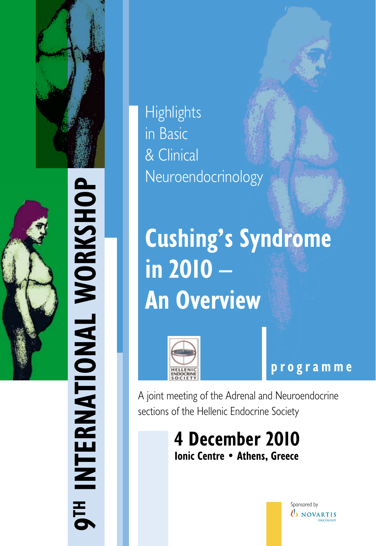



**op h s ork al W n tio a 9th Intern**  $\overline{E}$ 

**Highlights** in Basic & Clinical Neuroendocrinology

**Cushing's Syndrome in 2010 – An Overview**



**programme**

A joint meeting of the Adrenal and Neuroendocrine sections of the Hellenic Endocrine Society

> **4 December 2010 Ionic Centre • Athens, Greece**

> > Sponsored by  $\mathbf b$  novartis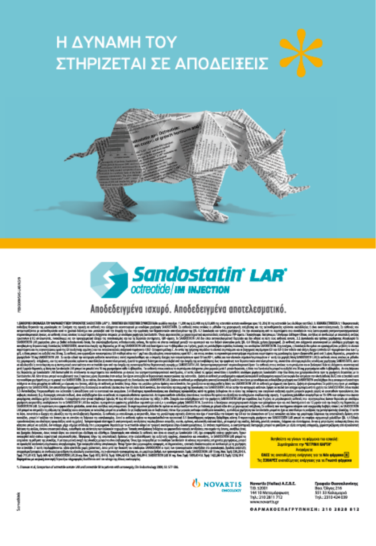





### Αποδεδειγμένα ισχυρό. Αποδεδειγμένα αποτελεσματικό.

stablicat postprimy un familiatatis propetes Apa accuse<br>per sig fait sur ser planarybore est familiatatis en ha<br>planar il proper mode moderner sur familiatatis i adi ert en en omsten en bekende fan de<br>Adjes van regelser, hengeregen starten<br>Adjes van regelser, hengeregen starten<br>Stev van regelser en de te sjongegelse eis un reconstruyes, a sergeorefet, kiner my providimane regimels diviersus mention of controlling to b<br>sy, kerni a mellomb, regime na musulmanista in comparative in 1 divisions men type of controlling to b

d'umanièrement Misselle stile fåt to patiente with announcepity. Cite in deuteral age 2000, Sit 577-586.

> **U** NOVARTIS CONCIDENTAL

Novartis (Helles) A.C.O.C. da Ol T/B. 52001 144 10 Mato TrpL: 210 2811 712 www.novertis.gr

Bao, Cliver, 216<br>SS1 33 Kokawap ээт яя комациорио<br>Tryk.: 2310-424-039

**GAPMAKOEMAFPYRNHIN: 210 2828 812** 

Bonitelors varyivaly to educate the cosolid Валкуаст пу ЧЕТРАН БИТЕ **Avoidoute** DNEE то окольбодник, сифульт, уш на Nda формка [4] Τις ΣΟΙΑΡΕΣ αναπέθμηκες επέργειες για το Frusted φόρμου

rettin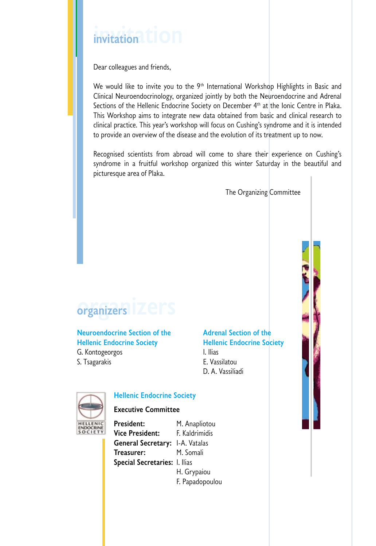# **invitation invitation**

Dear colleagues and friends,

We would like to invite you to the 9<sup>th</sup> International Workshop Highlights in Basic and Clinical Neuroendocrinology, organized jointly by both the Neuroendocrine and Adrenal Sections of the Hellenic Endocrine Society on December 4<sup>th</sup> at the Ionic Centre in Plaka. This Workshop aims to integrate new data obtained from basic and clinical research to clinical practice. This year's workshop will focus on Cushing's syndrome and it is intended to provide an overview of the disease and the evolution of its treatment up to now.

Recognised scientists from abroad will come to share their experience on Cushing's syndrome in a fruitful workshop organized this winter Saturday in the beautiful and picturesque area of Plaka.

The Organizing Committee

## **οrganizers οrganizers**

#### **Neuroendocrine Section of the Adrenal Section of the Hellenic Endocrine Society Hellenic Endocrine Society**

G. Kontogeorgos **I. Ilias** S. Tsagarakis E. Vassilatou

D. A. Vassiliadi



#### **Hellenic Endocrine Society**

#### **Executive Committee**

President: M. Anapliotou **Vice President:** F. Kaldrimidis **General Secretary:** I-A. Vatalas **Treasurer:** M. Somali **Special Secretaries:** Ι. Ilias H. Grypaiou F. Papadopoulou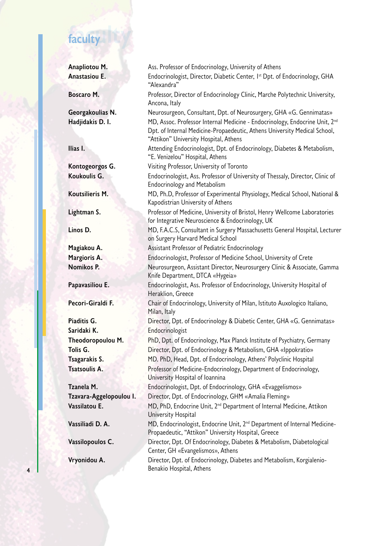# **faculty faculty**

| Anapliotou M.           | Ass. Professor of Endocrinology, University of Athens                                                                                                                                                         |
|-------------------------|---------------------------------------------------------------------------------------------------------------------------------------------------------------------------------------------------------------|
| Anastasiou E.           | Endocrinologist, Director, Diabetic Center, I <sup>st</sup> Dpt. of Endocrinology, GHA<br>"Alexandra"                                                                                                         |
| Boscaro M.              | Professor, Director of Endocrinology Clinic, Marche Polytechnic University,<br>Ancona, Italy                                                                                                                  |
| Georgakoulias N.        | Neurosurgeon, Consultant, Dpt. of Neurosurgery, GHA «G. Gennimatas»                                                                                                                                           |
| Hadjidakis D. I.        | MD, Assoc. Professor Internal Medicine - Endocrinology, Endocrine Unit, 2 <sup>nd</sup><br>Dpt. of Internal Medicine-Propaedeutic, Athens University Medical School,<br>"Attikon" University Hospital, Athens |
| Ilias I.                | Attending Endocrinologist, Dpt. of Endocrinology, Diabetes & Metabolism,<br>"E. Venizelou" Hospital, Athens                                                                                                   |
| Kontogeorgos G.         | Visiting Professor, University of Toronto                                                                                                                                                                     |
| Koukoulis G.            | Endocrinologist, Ass. Professor of University of Thessaly, Director, Clinic of<br><b>Endocrinology and Metabolism</b>                                                                                         |
| Koutsilieris M.         | MD, Ph.D, Professor of Experimental Physiology, Medical School, National &<br>Kapodistrian University of Athens                                                                                               |
| Lightman S.             | Professor of Medicine, University of Bristol, Henry Wellcome Laboratories<br>for Integrative Neuroscience & Endocrinology, UK                                                                                 |
| Linos D.                | MD, F.A.C.S, Consultant in Surgery Massachusetts General Hospital, Lecturer<br>on Surgery Harvard Medical School                                                                                              |
| Magiakou A.             | Assistant Professor of Pediatric Endocrinology                                                                                                                                                                |
| Margioris A.            | Endocrinologist, Professor of Medicine School, University of Crete                                                                                                                                            |
| Nomikos P.              | Neurosurgeon, Assistant Director, Neurosurgery Clinic & Associate, Gamma<br>Knife Department, DTCA «Hygeia»                                                                                                   |
| Papavasiliou E.         | Endocrinologist, Ass. Professor of Endocrinology, University Hospital of<br>Heraklion, Greece                                                                                                                 |
| Pecori-Giraldi F.       | Chair of Endocrinology, University of Milan, Istituto Auxologico Italiano,<br>Milan, Italy                                                                                                                    |
| Piaditis G.             | Director, Dpt. of Endocrinology & Diabetic Center, GHA «G. Gennimatas»                                                                                                                                        |
| Saridaki K.             | Endocrinologist                                                                                                                                                                                               |
| Theodoropoulou M.       | PhD, Dpt. of Endocrinology, Max Planck Institute of Psychiatry, Germany                                                                                                                                       |
| Tolis G.                | Director, Dpt. of Endocrinology & Metabolism, GHA «Ippokratio»                                                                                                                                                |
| Tsagarakis S.           | MD. PhD, Head, Dpt. of Endocrinology, Athens' Polyclinic Hospital                                                                                                                                             |
| <b>Tsatsoulis A.</b>    | Professor of Medicine-Endocrinology, Department of Endocrinology,<br>University Hospital of Ioannina                                                                                                          |
| Tzanela M.              | Endocrinologist, Dpt. of Endocrinology, GHA «Evaggelismos»                                                                                                                                                    |
| Tzavara-Aggelopoulou I. | Director, Dpt. of Endocrinology, GHM «Amalia Fleming»                                                                                                                                                         |
| Vassilatou E.           | MD, PhD, Endocrine Unit, 2 <sup>nd</sup> Department of Internal Medicine, Attikon<br>University Hospital                                                                                                      |
| Vassiliadi D. A.        | MD, Endocrinologist, Endocrine Unit, 2 <sup>nd</sup> Department of Internal Medicine-<br>Propaedeutic, "Attikon" University Hospital, Greece                                                                  |
| Vassilopoulos C.        | Director, Dpt. Of Endocrinology, Diabetes & Metabolism, Diabetological<br>Center, GH «Evangelismos», Athens                                                                                                   |
| Vryonidou A.            | Director, Dpt. of Endocrinology, Diabetes and Metabolism, Korgialenio-<br>Benakio Hospital, Athens                                                                                                            |

**4**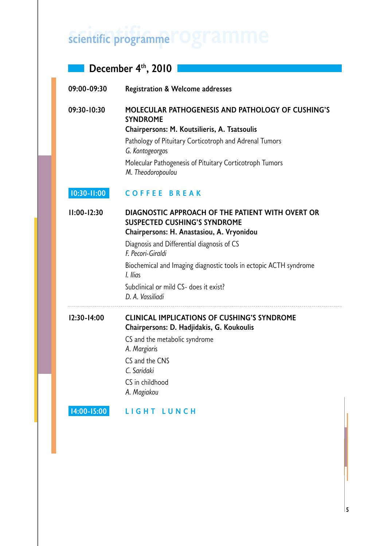# **scientific programme scientific programme**

### **December 4<sup>th</sup>, 2010**

| 09:00-09:30     | <b>Registration &amp; Welcome addresses</b>                                                                                                                                                                                                                                                                                                            |  |  |  |  |
|-----------------|--------------------------------------------------------------------------------------------------------------------------------------------------------------------------------------------------------------------------------------------------------------------------------------------------------------------------------------------------------|--|--|--|--|
| 09:30-10:30     | <b>MOLECULAR PATHOGENESIS AND PATHOLOGY OF CUSHING'S</b><br><b>SYNDROME</b><br>Chairpersons: M. Koutsilieris, A. Tsatsoulis                                                                                                                                                                                                                            |  |  |  |  |
|                 | Pathology of Pituitary Corticotroph and Adrenal Tumors<br>G. Kontogeorgos                                                                                                                                                                                                                                                                              |  |  |  |  |
|                 | Molecular Pathogenesis of Pituitary Corticotroph Tumors<br>M. Theodoropoulou                                                                                                                                                                                                                                                                           |  |  |  |  |
| $10:30 - 11:00$ | <b>COFFEE BREAK</b>                                                                                                                                                                                                                                                                                                                                    |  |  |  |  |
| $11:00-12:30$   | DIAGNOSTIC APPROACH OF THE PATIENT WITH OVERT OR<br><b>SUSPECTED CUSHING'S SYNDROME</b><br>Chairpersons: H. Anastasiou, A. Vryonidou<br>Diagnosis and Differential diagnosis of CS<br>F. Pecori-Giraldi<br>Biochemical and Imaging diagnostic tools in ectopic ACTH syndrome<br>I. Ilias<br>Subclinical or mild CS- does it exist?<br>D. A. Vassiliadi |  |  |  |  |
| $12:30 - 14:00$ | <b>CLINICAL IMPLICATIONS OF CUSHING'S SYNDROME</b><br>Chairpersons: D. Hadjidakis, G. Koukoulis<br>CS and the metabolic syndrome<br>A. Margioris<br>CS and the CNS<br>C. Saridaki<br>CS in childhood<br>A. Magiakou                                                                                                                                    |  |  |  |  |
| 14:00-15:00     | LIGHT LUNCH                                                                                                                                                                                                                                                                                                                                            |  |  |  |  |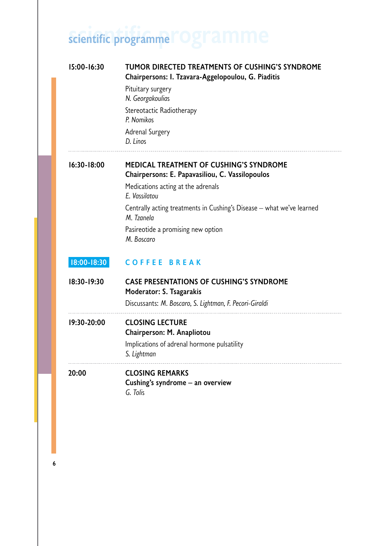# **scientific programme scientific programme**

| 15:00-16:30 | TUMOR DIRECTED TREATMENTS OF CUSHING'S SYNDROME<br>Chairpersons: I. Tzavara-Aggelopoulou, G. Piaditis |
|-------------|-------------------------------------------------------------------------------------------------------|
|             | Pituitary surgery<br>N. Georgakoulias                                                                 |
|             | Stereotactic Radiotherapy<br>P. Nomikos                                                               |
|             | Adrenal Surgery<br>D. Linos                                                                           |
| 16:30-18:00 | <b>MEDICAL TREATMENT OF CUSHING'S SYNDROME</b><br>Chairpersons: E. Papavasiliou, C. Vassilopoulos     |
|             | Medications acting at the adrenals<br>E. Vassilatou                                                   |
|             | Centrally acting treatments in Cushing's Disease - what we've learned<br>M. Tzanela                   |
|             | Pasireotide a promising new option<br>M. Boscaro                                                      |
| 18:00-18:30 | <b>COFFEE BREAK</b>                                                                                   |
| 18:30-19:30 | <b>CASE PRESENTATIONS OF CUSHING'S SYNDROME</b><br>Moderator: S. Tsagarakis                           |
|             | Discussants: M. Boscaro, S. Lightman, F. Pecori-Giraldi                                               |
| 19:30-20:00 | <b>CLOSING LECTURE</b><br>Chairperson: M. Anapliotou                                                  |
|             | Implications of adrenal hormone pulsatility<br>S. Lightman                                            |
| 20:00       | <b>CLOSING REMARKS</b><br>Cushing's syndrome - an overview<br>G. Tolis                                |

**6**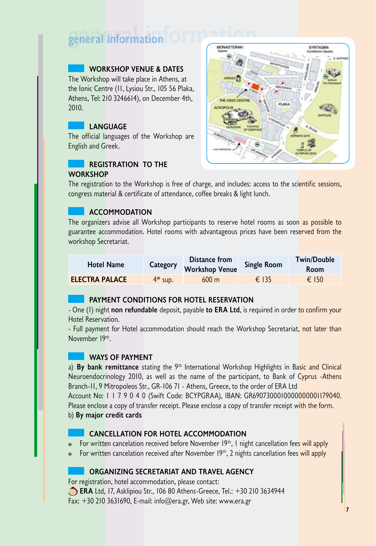# **general information general information**

#### **Workshop Venue & Dates**

The Workshop will take place in Athens, at the Ionic Centre (11, Lysiou Str., 105 56 Plaka, Athens, Tel: 210 3246614), on December 4th, 2010.

#### **Language**

The official languages of the Workshop are English and Greek.

#### **Registration to the Workshop**



The registration to the Workshop is free of charge, and includes: access to the scientific sessions, congress material & certificate of attendance, coffee breaks & light lunch.

#### **Accommodation**

The organizers advise all Workshop participants to reserve hotel rooms as soon as possible to guarantee accommodation. Hotel rooms with advantageous prices have been reserved from the workshop Secretariat.

| <b>Hotel Name</b>     | Category  | Distance from<br><b>Workshop Venue</b> | <b>Single Room</b> | <b>Twin/Double</b><br><b>Room</b> |
|-----------------------|-----------|----------------------------------------|--------------------|-----------------------------------|
| <b>ELECTRA PALACE</b> | $4*$ sup. | $600 \text{ m}$                        | $\epsilon$ 135     | $\epsilon$ 150                    |

### **Payment conditions for hotel reservation**

- One (I) night **non refundable** deposit, payable to ERA Ltd, is required in order to confirm your Hotel Reservation.

- Full payment for Hotel accommodation should reach the Workshop Secretariat, not later than November 19th.

#### **Ways of payment**

a) By bank remittance stating the 9<sup>th</sup> International Workshop Highlights in Basic and Clinical Neuroendocrinology 2010, as well as the name of the participant, to Bank of Cyprus -Athens Branch-11, 9 Mitropoleos Str., GR-106 71 - Athens, Greece, to the order of ERA Ltd

Account No: 1 1 7 9 0 4 0 (Swift Code: BCYPGRAA), IBAN: GR6907300010000000001179040. Please enclose a copy of transfer receipt. Please enclose a copy of transfer receipt with the form. b) **By major credit cards**

#### **Cancellation for hotel accommodation**

- For written cancelation received before November 19<sup>th</sup>, I night cancellation fees will apply
- For written cancelation received after November 19<sup>th</sup>, 2 nights cancellation fees will apply

### **Organizing secretariat and Travel agency**

For registration, hotel accommodation, please contact: **ERA Ltd, 17, Asklipiou Str., 106 80 Athens-Greece, Tel.: +30 210 3634944** Fax: +30 210 3631690, E-mail: info@era.gr, Web site: www.era.gr